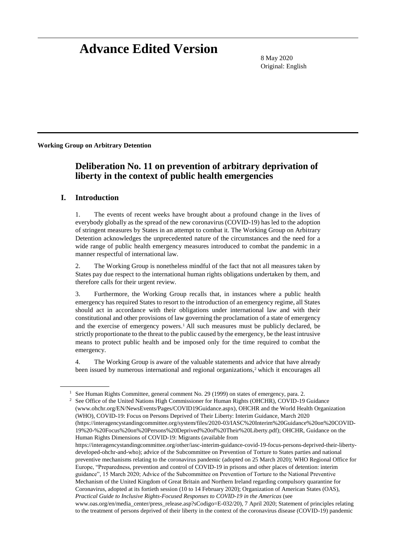# **Advance Edited Version**

8 May 2020 Original: English

**Working Group on Arbitrary Detention**

# **Deliberation No. 11 on prevention of arbitrary deprivation of liberty in the context of public health emergencies**

#### **I. Introduction**

1. The events of recent weeks have brought about a profound change in the lives of everybody globally as the spread of the new coronavirus (COVID-19) has led to the adoption of stringent measures by States in an attempt to combat it. The Working Group on Arbitrary Detention acknowledges the unprecedented nature of the circumstances and the need for a wide range of public health emergency measures introduced to combat the pandemic in a manner respectful of international law.

2. The Working Group is nonetheless mindful of the fact that not all measures taken by States pay due respect to the international human rights obligations undertaken by them, and therefore calls for their urgent review.

3. Furthermore, the Working Group recalls that, in instances where a public health emergency has required States to resort to the introduction of an emergency regime, all States should act in accordance with their obligations under international law and with their constitutional and other provisions of law governing the proclamation of a state of emergency and the exercise of emergency powers.<sup>1</sup> All such measures must be publicly declared, be strictly proportionate to the threat to the public caused by the emergency, be the least intrusive means to protect public health and be imposed only for the time required to combat the emergency.

4. The Working Group is aware of the valuable statements and advice that have already been issued by numerous international and regional organizations,<sup>2</sup> which it encourages all

<sup>&</sup>lt;sup>1</sup> See Human Rights Committee, general comment No. 29 (1999) on states of emergency, para. 2.

<sup>&</sup>lt;sup>2</sup> See Office of the United Nations High Commissioner for Human Rights (OHCHR), COVID-19 Guidance (www.ohchr.org/EN/NewsEvents/Pages/COVID19Guidance.aspx), OHCHR and the World Health Organization (WHO), COVID-19: Focus on Persons Deprived of Their Liberty: Interim Guidance, March 2020 [\(https://interagencystandingcommittee.org/system/files/2020-03/IASC%20Interim%20Guidance%20on%20COVID-](about:blank)[19%20-%20Focus%20on%20Persons%20Deprived%20of%20Their%20Liberty.pdf\)](about:blank); OHCHR, Guidance on the Human Rights Dimensions of COVID-19: Migrants (available from

[https://interagencystandingcommittee.org/other/iasc-interim-guidance-covid-19-focus-persons-deprived-their-liberty](https://interagencystandingcommittee.org/other/iasc-interim-guidance-covid-19-focus-persons-deprived-their-liberty-developed-ohchr-and-who)[developed-ohchr-and-who\)](https://interagencystandingcommittee.org/other/iasc-interim-guidance-covid-19-focus-persons-deprived-their-liberty-developed-ohchr-and-who); advice of the Subcommittee on Prevention of Torture to States parties and national preventive mechanisms relating to the coronavirus pandemic (adopted on 25 March 2020); WHO Regional Office for Europe, "Preparedness, prevention and control of COVID-19 in prisons and other places of detention: interim guidance", 15 March 2020; Advice of the Subcommittee on Prevention of Torture to the National Preventive Mechanism of the United Kingdom of Great Britain and Northern Ireland regarding compulsory quarantine for Coronavirus, adopted at its fortieth session (10 to 14 February 2020); Organization of American States (OAS), *Practical Guide to Inclusive Rights-Focused Responses to COVID-19 in the Americas* (see

www.oas.org/en/media\_center/press\_release.asp?sCodigo=E-032/20), 7 April 2020; Statement of principles relating to the treatment of persons deprived of their liberty in the context of the coronavirus disease (COVID-19) pandemic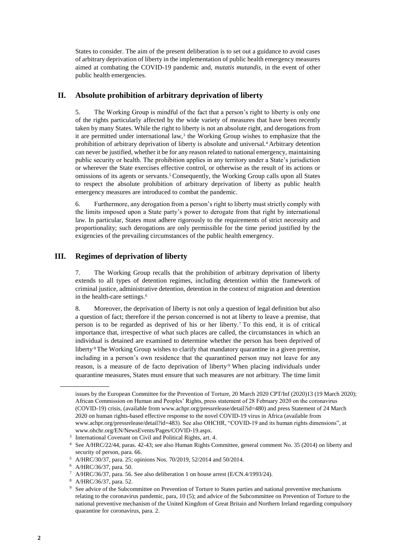States to consider. The aim of the present deliberation is to set out a guidance to avoid cases of arbitrary deprivation of liberty in the implementation of public health emergency measures aimed at combating the COVID-19 pandemic and, *mutatis mutandis*, in the event of other public health emergencies.

## **II. Absolute prohibition of arbitrary deprivation of liberty**

5. The Working Group is mindful of the fact that a person's right to liberty is only one of the rights particularly affected by the wide variety of measures that have been recently taken by many States. While the right to liberty is not an absolute right, and derogations from it are permitted under international law, $3$  the Working Group wishes to emphasize that the prohibition of arbitrary deprivation of liberty is absolute and universal.<sup>4</sup> Arbitrary detention can never be justified, whether it be for any reason related to national emergency, maintaining public security or health. The prohibition applies in any territory under a State's jurisdiction or wherever the State exercises effective control, or otherwise as the result of its actions or omissions of its agents or servants.<sup>5</sup> Consequently, the Working Group calls upon all States to respect the absolute prohibition of arbitrary deprivation of liberty as public health emergency measures are introduced to combat the pandemic.

6. Furthermore, any derogation from a person's right to liberty must strictly comply with the limits imposed upon a State party's power to derogate from that right by international law. In particular, States must adhere rigorously to the requirements of strict necessity and proportionality; such derogations are only permissible for the time period justified by the exigencies of the prevailing circumstances of the public health emergency.

# **III. Regimes of deprivation of liberty**

7. The Working Group recalls that the prohibition of arbitrary deprivation of liberty extends to all types of detention regimes, including detention within the framework of criminal justice, administrative detention, detention in the context of migration and detention in the health-care settings.<sup>6</sup>

8. Moreover, the deprivation of liberty is not only a question of legal definition but also a question of fact; therefore if the person concerned is not at liberty to leave a premise, that person is to be regarded as deprived of his or her liberty.<sup>7</sup> To this end, it is of critical importance that, irrespective of what such places are called, the circumstances in which an individual is detained are examined to determine whether the person has been deprived of liberty<sup>8</sup>The Working Group wishes to clarify that mandatory quarantine in a given premise, including in a person's own residence that the quarantined person may not leave for any reason, is a measure of de facto deprivation of liberty<sup>.9</sup> When placing individuals under quarantine measures, States must ensure that such measures are not arbitrary. The time limit

issues by the European Committee for the Prevention of Torture, 20 March 2020 CPT/Inf (2020)13 (19 March 2020); African Commission on Human and Peoples' Rights, press statement of 28 February 2020 on the coronavirus (COVID-19) crisis, (available from [www.achpr.org/pressrelease/detail?id=480\)](file:///C:/Users/viersma/AppData/Local/Microsoft/Windows/INetCache/Content.Outlook/02SHDBIJ/www.achpr.org/pressrelease/detail%3fid=480) and press Statement of 24 March 2020 on human rights-based effective response to the novel COVID-19 virus in Africa (available from [www.achpr.org/pressrelease/detail?id=483\)](file:///C:/Users/viersma/AppData/Local/Microsoft/Windows/INetCache/Content.Outlook/02SHDBIJ/www.achpr.org/pressrelease/detail%3fid=483). See also OHCHR, "COVID-19 and its human rights dimensions", at [www.ohchr.org/EN/NewsEvents/Pages/COVID-19.aspx.](file:///C:/Users/viersma/AppData/Local/Microsoft/Windows/INetCache/Content.Outlook/02SHDBIJ/www.ohchr.org/EN/NewsEvents/Pages/COVID-19.aspx)

<sup>&</sup>lt;sup>3</sup> International Covenant on Civil and Political Rights, art. 4.

<sup>4</sup> See A/HRC/22/44, paras. 42-43; see also Human Rights Committee, general comment No. 35 (2014) on liberty and security of person, para. 66.

<sup>5</sup> A/HRC/30/37, para. 25; opinions Nos. 70/2019, 52/2014 and 50/2014.

<sup>6</sup> A/HRC/36/37, para. 50.

<sup>7</sup> A/HRC/36/37, para. 56. See also deliberation 1 on house arrest (E/CN.4/1993/24).

<sup>8</sup> A/HRC/36/37, para. 52.

See advice of the Subcommittee on Prevention of Torture to States parties and national preventive mechanisms relating to the coronavirus pandemic, para, 10 (5); and advice of the Subcommittee on Prevention of Torture to the national preventive mechanism of the United Kingdom of Great Britain and Northern Ireland regarding compulsory quarantine for coronavirus, para. 2.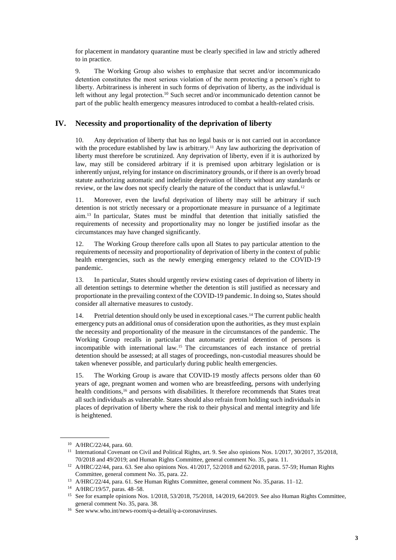for placement in mandatory quarantine must be clearly specified in law and strictly adhered to in practice.

9. The Working Group also wishes to emphasize that secret and/or incommunicado detention constitutes the most serious violation of the norm protecting a person's right to liberty. Arbitrariness is inherent in such forms of deprivation of liberty, as the individual is left without any legal protection.<sup>10</sup> Such secret and/or incommunicado detention cannot be part of the public health emergency measures introduced to combat a health-related crisis.

### **IV. Necessity and proportionality of the deprivation of liberty**

10. Any deprivation of liberty that has no legal basis or is not carried out in accordance with the procedure established by law is arbitrary.<sup>11</sup> Any law authorizing the deprivation of liberty must therefore be scrutinized. Any deprivation of liberty, even if it is authorized by law, may still be considered arbitrary if it is premised upon arbitrary legislation or is inherently unjust, relying for instance on discriminatory grounds, or if there is an overly broad statute authorizing automatic and indefinite deprivation of liberty without any standards or review, or the law does not specify clearly the nature of the conduct that is unlawful.<sup>12</sup>

11. Moreover, even the lawful deprivation of liberty may still be arbitrary if such detention is not strictly necessary or a proportionate measure in pursuance of a legitimate aim.<sup>13</sup> In particular, States must be mindful that detention that initially satisfied the requirements of necessity and proportionality may no longer be justified insofar as the circumstances may have changed significantly.

12. The Working Group therefore calls upon all States to pay particular attention to the requirements of necessity and proportionality of deprivation of liberty in the context of public health emergencies, such as the newly emerging emergency related to the COVID-19 pandemic.

13. In particular, States should urgently review existing cases of deprivation of liberty in all detention settings to determine whether the detention is still justified as necessary and proportionate in the prevailing context of the COVID-19 pandemic. In doing so, States should consider all alternative measures to custody.

14. Pretrial detention should only be used in exceptional cases.<sup>14</sup> The current public health emergency puts an additional onus of consideration upon the authorities, as they must explain the necessity and proportionality of the measure in the circumstances of the pandemic. The Working Group recalls in particular that automatic pretrial detention of persons is incompatible with international law.<sup>15</sup> The circumstances of each instance of pretrial detention should be assessed; at all stages of proceedings, non-custodial measures should be taken whenever possible, and particularly during public health emergencies.

15. The Working Group is aware that COVID-19 mostly affects persons older than 60 years of age, pregnant women and women who are breastfeeding, persons with underlying health conditions,<sup>16</sup> and persons with disabilities. It therefore recommends that States treat all such individuals as vulnerable. States should also refrain from holding such individuals in places of deprivation of liberty where the risk to their physical and mental integrity and life is heightened.

<sup>10</sup> A/HRC/22/44, para. 60.

<sup>&</sup>lt;sup>11</sup> International Covenant on Civil and Political Rights, art. 9. See also opinions Nos. 1/2017, 30/2017, 35/2018, 70/2018 and 49/2019; and Human Rights Committee, general comment No. 35, para. 11.

<sup>12</sup> A/HRC/22/44, para. 63. See also opinions Nos. 41/2017, 52/2018 and 62/2018, paras. 57-59; Human Rights Committee, general comment No. 35, para. 22.

<sup>13</sup> A/HRC/22/44, para. 61. See Human Rights Committee, general comment No. 35,paras. 11–12.

<sup>14</sup> A/HRC/19/57, paras. 48–58.

<sup>&</sup>lt;sup>15</sup> See for example opinions Nos. 1/2018, 53/2018, 75/2018, 14/2019, 64/2019. See also Human Rights Committee, general comment No. 35, para. 38.

<sup>16</sup> Se[e www.who.int/news-room/q-a-detail/q-a-coronaviruses.](file:///C:/Users/viersma/AppData/Local/Microsoft/Windows/INetCache/Content.Outlook/02SHDBIJ/www.who.int/news-room/q-a-detail/q-a-coronaviruses)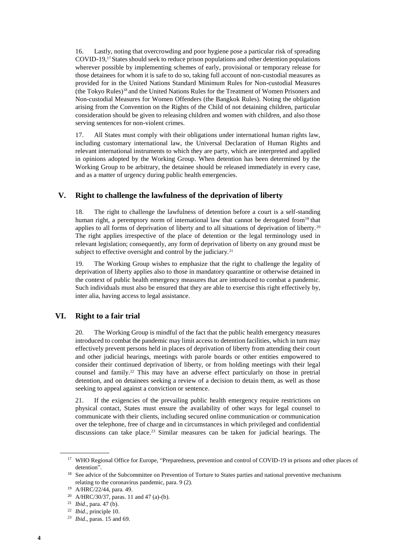16. Lastly, noting that overcrowding and poor hygiene pose a particular risk of spreading COVID-19,17States should seek to reduce prison populations and other detention populations wherever possible by implementing schemes of early, provisional or temporary release for those detainees for whom it is safe to do so, taking full account of non-custodial measures as provided for in the United Nations Standard Minimum Rules for Non-custodial Measures (the Tokyo Rules)<sup>18</sup> and the United Nations Rules for the Treatment of Women Prisoners and Non-custodial Measures for Women Offenders (the Bangkok Rules). Noting the obligation arising from the Convention on the Rights of the Child of not detaining children, particular consideration should be given to releasing children and women with children, and also those serving sentences for non-violent crimes.

17. All States must comply with their obligations under international human rights law, including customary international law, the Universal Declaration of Human Rights and relevant international instruments to which they are party, which are interpreted and applied in opinions adopted by the Working Group. When detention has been determined by the Working Group to be arbitrary, the detainee should be released immediately in every case, and as a matter of urgency during public health emergencies.

#### **V. Right to challenge the lawfulness of the deprivation of liberty**

18. The right to challenge the lawfulness of detention before a court is a self-standing human right, a peremptory norm of international law that cannot be derogated from<sup>19</sup> that applies to all forms of deprivation of liberty and to all situations of deprivation of liberty.<sup>20</sup> The right applies irrespective of the place of detention or the legal terminology used in relevant legislation; consequently, any form of deprivation of liberty on any ground must be subject to effective oversight and control by the judiciary.<sup>21</sup>

19. The Working Group wishes to emphasize that the right to challenge the legality of deprivation of liberty applies also to those in mandatory quarantine or otherwise detained in the context of public health emergency measures that are introduced to combat a pandemic. Such individuals must also be ensured that they are able to exercise this right effectively by, inter alia, having access to legal assistance.

#### **VI. Right to a fair trial**

20. The Working Group is mindful of the fact that the public health emergency measures introduced to combat the pandemic may limit access to detention facilities, which in turn may effectively prevent persons held in places of deprivation of liberty from attending their court and other judicial hearings, meetings with parole boards or other entities empowered to consider their continued deprivation of liberty, or from holding meetings with their legal counsel and family.<sup>22</sup> This may have an adverse effect particularly on those in pretrial detention, and on detainees seeking a review of a decision to detain them, as well as those seeking to appeal against a conviction or sentence.

21. If the exigencies of the prevailing public health emergency require restrictions on physical contact, States must ensure the availability of other ways for legal counsel to communicate with their clients, including secured online communication or communication over the telephone, free of charge and in circumstances in which privileged and confidential discussions can take place.<sup>23</sup> Similar measures can be taken for judicial hearings. The

<sup>&</sup>lt;sup>17</sup> WHO Regional Office for Europe, "Preparedness, prevention and control of COVID-19 in prisons and other places of detention".

<sup>&</sup>lt;sup>18</sup> See advice of the Subcommittee on Prevention of Torture to States parties and national preventive mechanisms relating to the coronavirus pandemic, para. 9 (2).

<sup>19</sup> A/HRC/22/44, para. 49.

<sup>20</sup> A/HRC/30/37, paras. 11 and 47 (a)-(b).

<sup>21</sup> *Ibid*., para. 47 (b).

<sup>22</sup> *Ibid*., principle 10.

<sup>23</sup> *Ibid.*, paras. 15 and 69.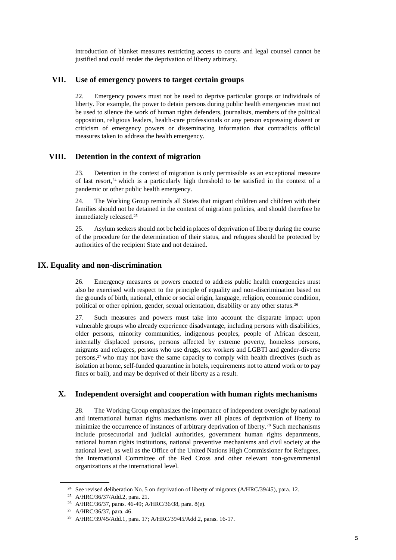introduction of blanket measures restricting access to courts and legal counsel cannot be justified and could render the deprivation of liberty arbitrary.

#### **VII. Use of emergency powers to target certain groups**

22. Emergency powers must not be used to deprive particular groups or individuals of liberty. For example, the power to detain persons during public health emergencies must not be used to silence the work of human rights defenders, journalists, members of the political opposition, religious leaders, health-care professionals or any person expressing dissent or criticism of emergency powers or disseminating information that contradicts official measures taken to address the health emergency.

#### **VIII. Detention in the context of migration**

23. Detention in the context of migration is only permissible as an exceptional measure of last resort,<sup>24</sup> which is a particularly high threshold to be satisfied in the context of a pandemic or other public health emergency.

24. The Working Group reminds all States that migrant children and children with their families should not be detained in the context of migration policies, and should therefore be immediately released.<sup>25</sup>

25. Asylum seekers should not be held in places of deprivation of liberty during the course of the procedure for the determination of their status, and refugees should be protected by authorities of the recipient State and not detained.

#### **IX. Equality and non-discrimination**

26. Emergency measures or powers enacted to address public health emergencies must also be exercised with respect to the principle of equality and non-discrimination based on the grounds of birth, national, ethnic or social origin, language, religion, economic condition, political or other opinion, gender, sexual orientation, disability or any other status.<sup>26</sup>

27. Such measures and powers must take into account the disparate impact upon vulnerable groups who already experience disadvantage, including persons with disabilities, older persons, minority communities, indigenous peoples, people of African descent, internally displaced persons, persons affected by extreme poverty, homeless persons, migrants and refugees, persons who use drugs, sex workers and LGBTI and gender-diverse persons, $27$  who may not have the same capacity to comply with health directives (such as isolation at home, self-funded quarantine in hotels, requirements not to attend work or to pay fines or bail), and may be deprived of their liberty as a result.

#### **X. Independent oversight and cooperation with human rights mechanisms**

28. The Working Group emphasizes the importance of independent oversight by national and international human rights mechanisms over all places of deprivation of liberty to minimize the occurrence of instances of arbitrary deprivation of liberty.<sup>28</sup> Such mechanisms include prosecutorial and judicial authorities, government human rights departments, national human rights institutions, national preventive mechanisms and civil society at the national level, as well as the Office of the United Nations High Commissioner for Refugees, the International Committee of the Red Cross and other relevant non-governmental organizations at the international level.

<sup>&</sup>lt;sup>24</sup> See revised deliberation No. 5 on deprivation of liberty of migrants (A/HRC/39/45), para. 12.

<sup>25</sup> A/HRC/36/37/Add.2, para. 21.

<sup>26</sup> A/HRC/36/37, paras. 46-49; A/HRC/36/38, para. 8(e).

<sup>27</sup> A/HRC/36/37, para. 46.

<sup>28</sup> A/HRC/39/45/Add.1, para. 17; A/HRC/39/45/Add.2, paras. 16-17.